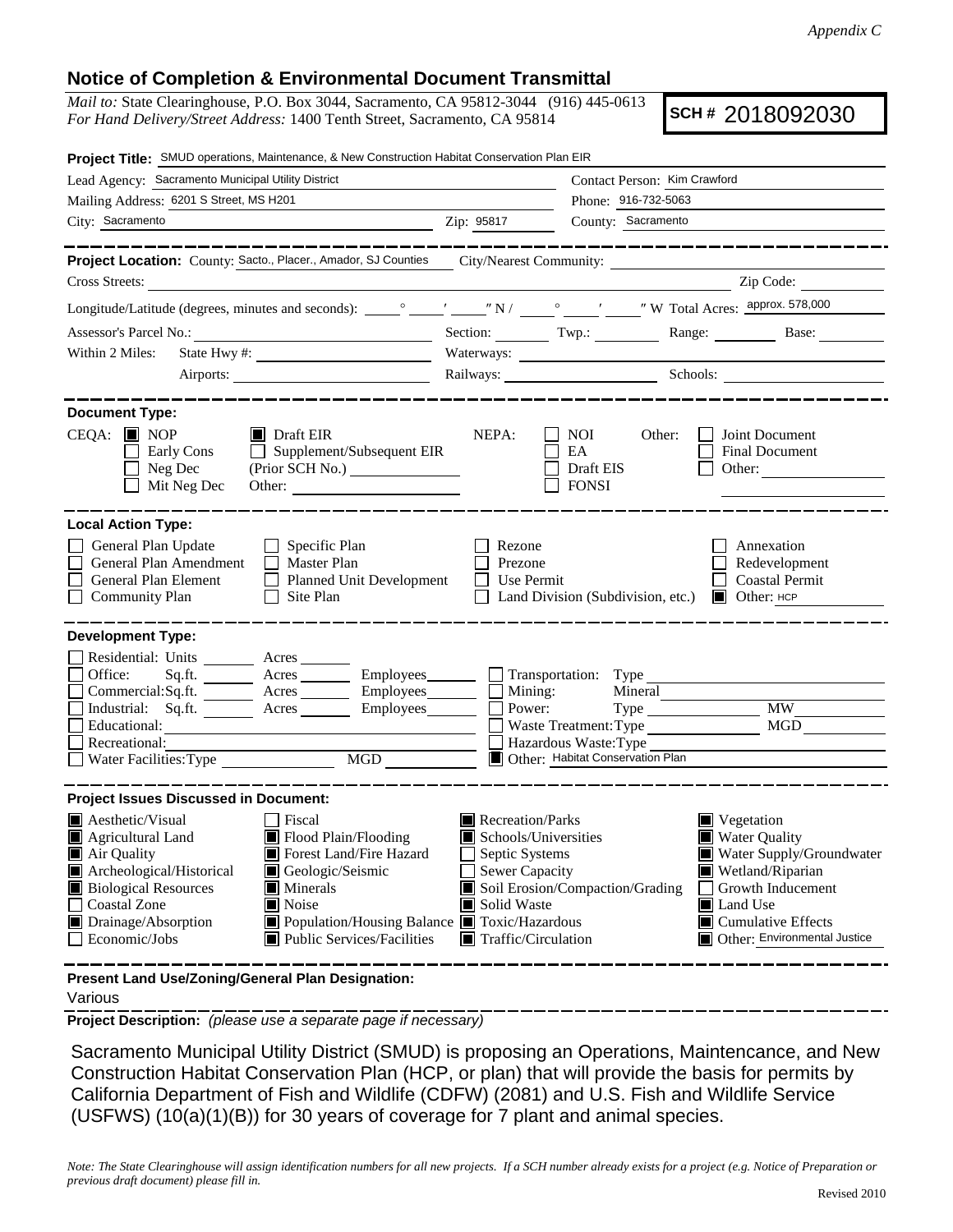## **Notice of Completion & Environmental Document Transmittal**

*Mail to:* State Clearinghouse, P.O. Box 3044, Sacramento, CA 95812-3044 (916) 445-0613 *For Hand Delivery/Street Address:* 1400 Tenth Street, Sacramento, CA 95814

**SCH #** 2018092030

| Project Title: SMUD operations, Maintenance, & New Construction Habitat Conservation Plan EIR                                                                                                                                                                                                                                                           |                                                                                                                                                                                            |                                                                                               |                                                                                                                                                                                                         |
|---------------------------------------------------------------------------------------------------------------------------------------------------------------------------------------------------------------------------------------------------------------------------------------------------------------------------------------------------------|--------------------------------------------------------------------------------------------------------------------------------------------------------------------------------------------|-----------------------------------------------------------------------------------------------|---------------------------------------------------------------------------------------------------------------------------------------------------------------------------------------------------------|
| Lead Agency: Sacramento Municipal Utility District                                                                                                                                                                                                                                                                                                      |                                                                                                                                                                                            | Contact Person: Kim Crawford                                                                  |                                                                                                                                                                                                         |
| Mailing Address: 6201 S Street, MS H201                                                                                                                                                                                                                                                                                                                 |                                                                                                                                                                                            | Phone: 916-732-5063                                                                           |                                                                                                                                                                                                         |
| City: Sacramento                                                                                                                                                                                                                                                                                                                                        | Zip: 95817                                                                                                                                                                                 | County: Sacramento                                                                            |                                                                                                                                                                                                         |
|                                                                                                                                                                                                                                                                                                                                                         |                                                                                                                                                                                            |                                                                                               | <u> 1989 - 1989 - 1989 - 1989 - 1989 - 19</u>                                                                                                                                                           |
| Cross Streets:                                                                                                                                                                                                                                                                                                                                          |                                                                                                                                                                                            |                                                                                               | Zip Code:                                                                                                                                                                                               |
| <u> 1989 - Johann Stoff, amerikansk politiker (d. 1989)</u>                                                                                                                                                                                                                                                                                             |                                                                                                                                                                                            |                                                                                               |                                                                                                                                                                                                         |
|                                                                                                                                                                                                                                                                                                                                                         |                                                                                                                                                                                            |                                                                                               |                                                                                                                                                                                                         |
|                                                                                                                                                                                                                                                                                                                                                         |                                                                                                                                                                                            |                                                                                               | Section: Twp.: Twp.: Range: Base: Base:                                                                                                                                                                 |
| Within 2 Miles:                                                                                                                                                                                                                                                                                                                                         |                                                                                                                                                                                            |                                                                                               |                                                                                                                                                                                                         |
|                                                                                                                                                                                                                                                                                                                                                         |                                                                                                                                                                                            |                                                                                               | Railways: Schools: Schools: Charles and Schools: Charles and Schools: Charles and Schools: Charles and Schools                                                                                          |
| <b>Document Type:</b>                                                                                                                                                                                                                                                                                                                                   |                                                                                                                                                                                            |                                                                                               |                                                                                                                                                                                                         |
| $CEQA: \blacksquare$ NOP<br>$\blacksquare$ Draft EIR<br>Early Cons<br>$\Box$ Supplement/Subsequent EIR<br>$\Box$ Neg Dec<br>(Prior SCH No.)<br>Mit Neg Dec                                                                                                                                                                                              | NEPA:                                                                                                                                                                                      | NOI 11<br>Other:<br>EA<br>Draft EIS<br><b>FONSI</b>                                           | Joint Document<br>Final Document<br>Other:                                                                                                                                                              |
| General Plan Update<br>$\Box$ Specific Plan<br>General Plan Amendment<br>$\Box$ Master Plan<br>General Plan Element<br>Planned Unit Development<br><b>Community Plan</b><br>$\Box$<br>Site Plan                                                                                                                                                         | Rezone<br>Prezone<br>Use Permit                                                                                                                                                            | Land Division (Subdivision, etc.)                                                             | Annexation<br>Redevelopment<br><b>Coastal Permit</b><br>$\Box$ Other: $HCP$                                                                                                                             |
| <b>Development Type:</b><br>Residential: Units ________ Acres _______<br>Office:<br>Sq.ft. ________ Acres _________ Employees________ __ Transportation: Type<br>Commercial:Sq.ft. _________ Acres __________ Employees________<br>Industrial: Sq.ft. _______ Acres _______ Employees_______<br>Educational:<br>Recreational:<br>Water Facilities: Type | Mining:<br>Power:<br>MGD                                                                                                                                                                   | Mineral<br>Waste Treatment: Type<br>Hazardous Waste: Type<br>Other: Habitat Conservation Plan | M W<br><b>MGD</b>                                                                                                                                                                                       |
| <b>Project Issues Discussed in Document:</b>                                                                                                                                                                                                                                                                                                            |                                                                                                                                                                                            |                                                                                               |                                                                                                                                                                                                         |
| $\blacksquare$ Aesthetic/Visual<br>  Fiscal<br>Agricultural Land<br>Flood Plain/Flooding<br>Air Quality<br>Forest Land/Fire Hazard<br>Archeological/Historical<br>Geologic/Seismic<br><b>Biological Resources</b><br>$\blacksquare$ Minerals<br>Coastal Zone<br><b>■</b> Noise<br>Drainage/Absorption<br>Economic/Jobs<br>■ Public Services/Facilities  | Recreation/Parks<br>Schools/Universities<br>Septic Systems<br><b>Sewer Capacity</b><br>Solid Waste<br>■ Population/Housing Balance ■ Toxic/Hazardous<br>$\blacksquare$ Traffic/Circulation | Soil Erosion/Compaction/Grading                                                               | $\blacksquare$ Vegetation<br><b>Water Quality</b><br>Water Supply/Groundwater<br>Wetland/Riparian<br>Growth Inducement<br>Land Use<br>$\blacksquare$ Cumulative Effects<br>Other: Environmental Justice |
| Present Land Use/Zoning/General Plan Designation:                                                                                                                                                                                                                                                                                                       |                                                                                                                                                                                            |                                                                                               |                                                                                                                                                                                                         |

Various

**Project Description:** *(please use a separate page if necessary)*

 Sacramento Municipal Utility District (SMUD) is proposing an Operations, Maintencance, and New Construction Habitat Conservation Plan (HCP, or plan) that will provide the basis for permits by California Department of Fish and Wildlife (CDFW) (2081) and U.S. Fish and Wildlife Service (USFWS) (10(a)(1)(B)) for 30 years of coverage for 7 plant and animal species.